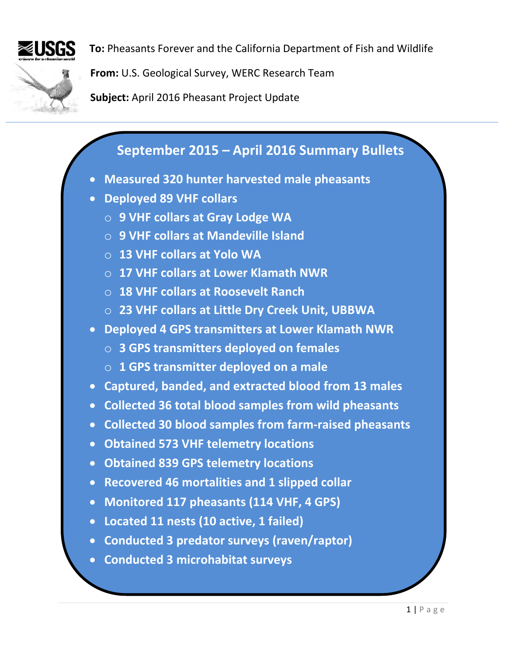

**To:** Pheasants Forever and the California Department of Fish and Wildlife

**From:** U.S. Geological Survey, WERC Research Team

**Subject:** April 2016 Pheasant Project Update

# **September 2015 – April 2016 Summary Bullets**

- **Measured 320 hunter harvested male pheasants**
- **Deployed 89 VHF collars**
	- o **9 VHF collars at Gray Lodge WA**
	- o **9 VHF collars at Mandeville Island**
	- o **13 VHF collars at Yolo WA**
	- o **17 VHF collars at Lower Klamath NWR**
	- o **18 VHF collars at Roosevelt Ranch**
	- o **23 VHF collars at Little Dry Creek Unit, UBBWA**
- **Deployed 4 GPS transmitters at Lower Klamath NWR**
	- o **3 GPS transmitters deployed on females**
	- o **1 GPS transmitter deployed on a male**
- **Captured, banded, and extracted blood from 13 males**
- **Collected 36 total blood samples from wild pheasants**
- **Collected 30 blood samples from farm-raised pheasants**
- **Obtained 573 VHF telemetry locations**
- **Obtained 839 GPS telemetry locations**
- **Recovered 46 mortalities and 1 slipped collar**
- **Monitored 117 pheasants (114 VHF, 4 GPS)**
- **Located 11 nests (10 active, 1 failed)**
- **Conducted 3 predator surveys (raven/raptor)**
- **Conducted 3 microhabitat surveys**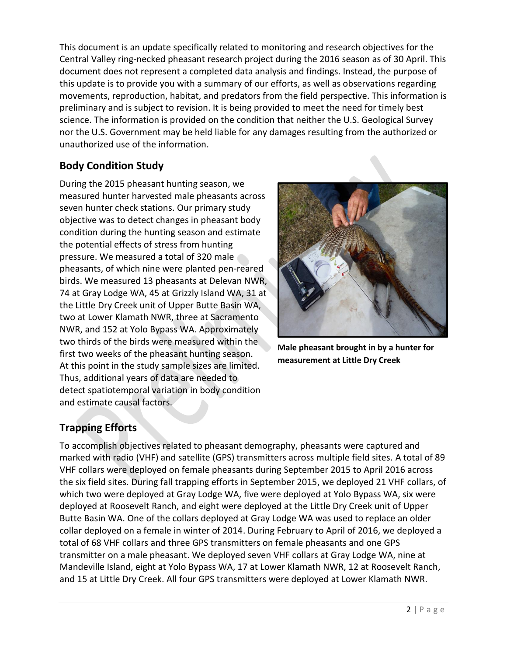This document is an update specifically related to monitoring and research objectives for the Central Valley ring-necked pheasant research project during the 2016 season as of 30 April. This document does not represent a completed data analysis and findings. Instead, the purpose of this update is to provide you with a summary of our efforts, as well as observations regarding movements, reproduction, habitat, and predators from the field perspective. This information is preliminary and is subject to revision. It is being provided to meet the need for timely best science. The information is provided on the condition that neither the U.S. Geological Survey nor the U.S. Government may be held liable for any damages resulting from the authorized or unauthorized use of the information.

### **Body Condition Study**

During the 2015 pheasant hunting season, we measured hunter harvested male pheasants across seven hunter check stations. Our primary study objective was to detect changes in pheasant body condition during the hunting season and estimate the potential effects of stress from hunting pressure. We measured a total of 320 male pheasants, of which nine were planted pen-reared birds. We measured 13 pheasants at Delevan NWR, 74 at Gray Lodge WA, 45 at Grizzly Island WA, 31 at the Little Dry Creek unit of Upper Butte Basin WA, two at Lower Klamath NWR, three at Sacramento NWR, and 152 at Yolo Bypass WA. Approximately two thirds of the birds were measured within the first two weeks of the pheasant hunting season. At this point in the study sample sizes are limited. Thus, additional years of data are needed to detect spatiotemporal variation in body condition and estimate causal factors.



**Male pheasant brought in by a hunter for measurement at Little Dry Creek**

## **Trapping Efforts**

To accomplish objectives related to pheasant demography, pheasants were captured and marked with radio (VHF) and satellite (GPS) transmitters across multiple field sites. A total of 89 VHF collars were deployed on female pheasants during September 2015 to April 2016 across the six field sites. During fall trapping efforts in September 2015, we deployed 21 VHF collars, of which two were deployed at Gray Lodge WA, five were deployed at Yolo Bypass WA, six were deployed at Roosevelt Ranch, and eight were deployed at the Little Dry Creek unit of Upper Butte Basin WA. One of the collars deployed at Gray Lodge WA was used to replace an older collar deployed on a female in winter of 2014. During February to April of 2016, we deployed a total of 68 VHF collars and three GPS transmitters on female pheasants and one GPS transmitter on a male pheasant. We deployed seven VHF collars at Gray Lodge WA, nine at Mandeville Island, eight at Yolo Bypass WA, 17 at Lower Klamath NWR, 12 at Roosevelt Ranch, and 15 at Little Dry Creek. All four GPS transmitters were deployed at Lower Klamath NWR.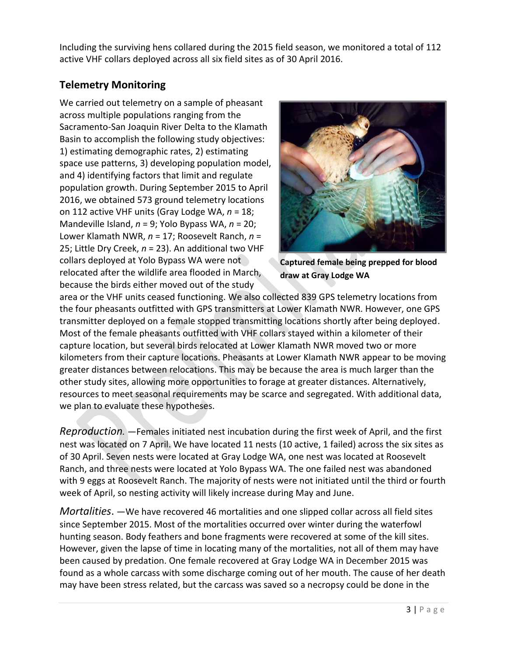Including the surviving hens collared during the 2015 field season, we monitored a total of 112 active VHF collars deployed across all six field sites as of 30 April 2016.

#### **Telemetry Monitoring**

We carried out telemetry on a sample of pheasant across multiple populations ranging from the Sacramento-San Joaquin River Delta to the Klamath Basin to accomplish the following study objectives: 1) estimating demographic rates, 2) estimating space use patterns, 3) developing population model, and 4) identifying factors that limit and regulate population growth. During September 2015 to April 2016, we obtained 573 ground telemetry locations on 112 active VHF units (Gray Lodge WA, *n* = 18; Mandeville Island, *n* = 9; Yolo Bypass WA, *n* = 20; Lower Klamath NWR, *n* = 17; Roosevelt Ranch, *n* = 25; Little Dry Creek, *n* = 23). An additional two VHF collars deployed at Yolo Bypass WA were not relocated after the wildlife area flooded in March, because the birds either moved out of the study



**Captured female being prepped for blood draw at Gray Lodge WA**

area or the VHF units ceased functioning. We also collected 839 GPS telemetry locations from the four pheasants outfitted with GPS transmitters at Lower Klamath NWR. However, one GPS transmitter deployed on a female stopped transmitting locations shortly after being deployed. Most of the female pheasants outfitted with VHF collars stayed within a kilometer of their capture location, but several birds relocated at Lower Klamath NWR moved two or more kilometers from their capture locations. Pheasants at Lower Klamath NWR appear to be moving greater distances between relocations. This may be because the area is much larger than the other study sites, allowing more opportunities to forage at greater distances. Alternatively, resources to meet seasonal requirements may be scarce and segregated. With additional data, we plan to evaluate these hypotheses.

*Reproduction. ―*Females initiated nest incubation during the first week of April, and the first nest was located on 7 April. We have located 11 nests (10 active, 1 failed) across the six sites as of 30 April. Seven nests were located at Gray Lodge WA, one nest was located at Roosevelt Ranch, and three nests were located at Yolo Bypass WA. The one failed nest was abandoned with 9 eggs at Roosevelt Ranch. The majority of nests were not initiated until the third or fourth week of April, so nesting activity will likely increase during May and June.

*Mortalities*. *―*We have recovered 46 mortalities and one slipped collar across all field sites since September 2015. Most of the mortalities occurred over winter during the waterfowl hunting season. Body feathers and bone fragments were recovered at some of the kill sites. However, given the lapse of time in locating many of the mortalities, not all of them may have been caused by predation. One female recovered at Gray Lodge WA in December 2015 was found as a whole carcass with some discharge coming out of her mouth. The cause of her death may have been stress related, but the carcass was saved so a necropsy could be done in the